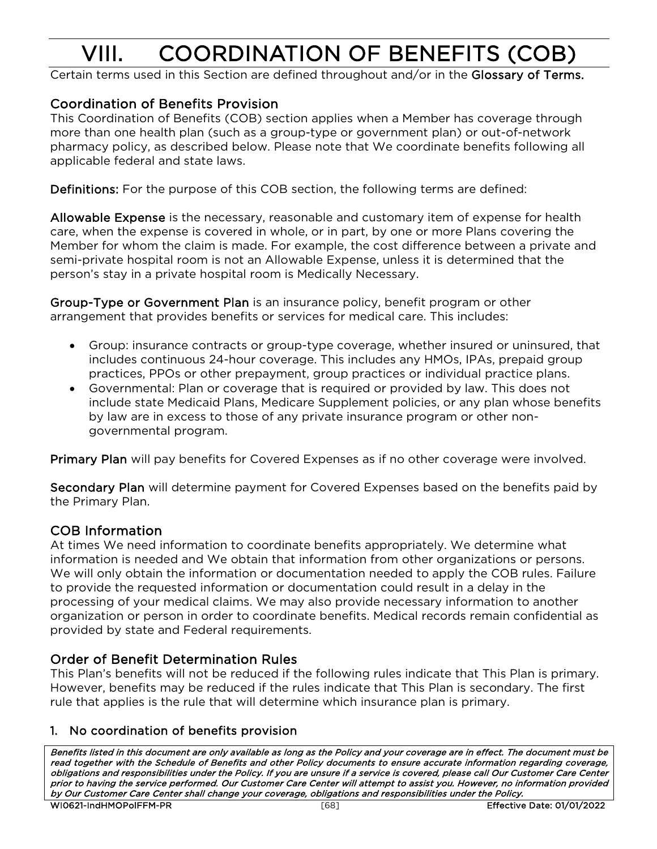# VIII. COORDINATION OF BENEFITS (COB)<br>Certain terms used in this Section are defined throughout and/or in the Glossary of Terms.

# Coordination of Benefits Provision

This Coordination of Benefits (COB) section applies when a Member has coverage through more than one health plan (such as a group-type or government plan) or out-of-network pharmacy policy, as described below. Please note that We coordinate benefits following all applicable federal and state laws.

Definitions: For the purpose of this COB section, the following terms are defined:

Allowable Expense is the necessary, reasonable and customary item of expense for health care, when the expense is covered in whole, or in part, by one or more Plans covering the Member for whom the claim is made. For example, the cost difference between a private and semi-private hospital room is not an Allowable Expense, unless it is determined that the person's stay in a private hospital room is Medically Necessary.

Group-Type or Government Plan is an insurance policy, benefit program or other arrangement that provides benefits or services for medical care. This includes:

- Group: insurance contracts or group-type coverage, whether insured or uninsured, that includes continuous 24-hour coverage. This includes any HMOs, IPAs, prepaid group practices, PPOs or other prepayment, group practices or individual practice plans.
- Governmental: Plan or coverage that is required or provided by law. This does not include state Medicaid Plans, Medicare Supplement policies, or any plan whose benefits by law are in excess to those of any private insurance program or other nongovernmental program.

Primary Plan will pay benefits for Covered Expenses as if no other coverage were involved.

Secondary Plan will determine payment for Covered Expenses based on the benefits paid by the Primary Plan.

# COB Information

At times We need information to coordinate benefits appropriately. We determine what information is needed and We obtain that information from other organizations or persons. We will only obtain the information or documentation needed to apply the COB rules. Failure to provide the requested information or documentation could result in a delay in the processing of your medical claims. We may also provide necessary information to another organization or person in order to coordinate benefits. Medical records remain confidential as provided by state and Federal requirements.

# Order of Benefit Determination Rules

This Plan's benefits will not be reduced if the following rules indicate that This Plan is primary. However, benefits may be reduced if the rules indicate that This Plan is secondary. The first rule that applies is the rule that will determine which insurance plan is primary.

# 1. No coordination of benefits provision

Benefits listed in this document are only available as long as the Policy and your coverage are in effect. The document must be read together with the Schedule of Benefits and other Policy documents to ensure accurate information regarding coverage, obligations and responsibilities under the Policy. If you are unsure if a service is covered, please call Our Customer Care Center prior to having the service performed. Our Customer Care Center will attempt to assist you. However, no information provided by Our Customer Care Center shall change your coverage, obligations and responsibilities under the Policy.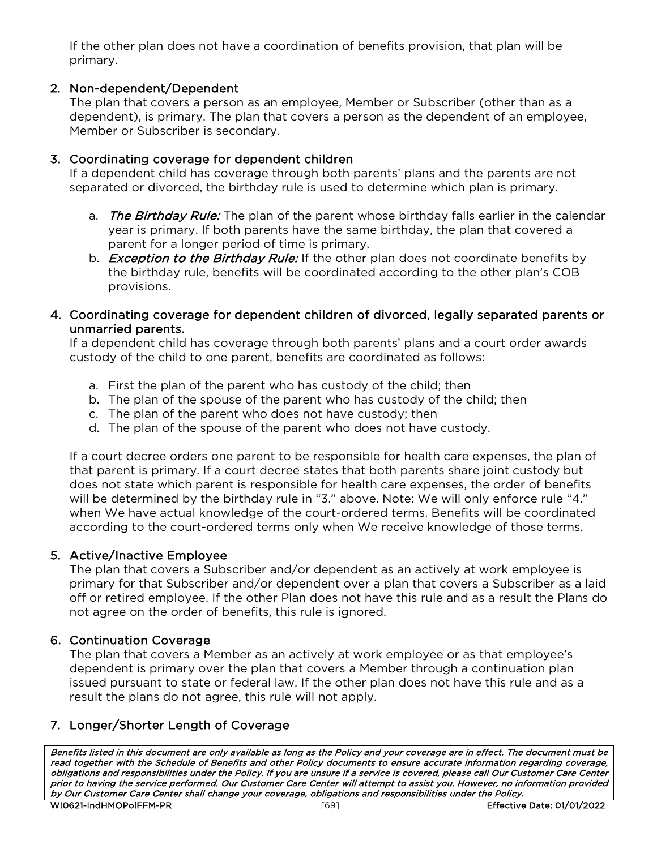If the other plan does not have a coordination of benefits provision, that plan will be primary.

# 2. Non-dependent/Dependent

The plan that covers a person as an employee, Member or Subscriber (other than as a dependent), is primary. The plan that covers a person as the dependent of an employee, Member or Subscriber is secondary.

#### 3. Coordinating coverage for dependent children

If a dependent child has coverage through both parents' plans and the parents are not separated or divorced, the birthday rule is used to determine which plan is primary.

- a. The Birthday Rule: The plan of the parent whose birthday falls earlier in the calendar year is primary. If both parents have the same birthday, the plan that covered a parent for a longer period of time is primary.
- b. *Exception to the Birthday Rule:* If the other plan does not coordinate benefits by the birthday rule, benefits will be coordinated according to the other plan's COB provisions.

#### 4. Coordinating coverage for dependent children of divorced, legally separated parents or unmarried parents.

If a dependent child has coverage through both parents' plans and a court order awards custody of the child to one parent, benefits are coordinated as follows:

- a. First the plan of the parent who has custody of the child; then
- b. The plan of the spouse of the parent who has custody of the child; then
- c. The plan of the parent who does not have custody; then
- d. The plan of the spouse of the parent who does not have custody.

If a court decree orders one parent to be responsible for health care expenses, the plan of that parent is primary. If a court decree states that both parents share joint custody but does not state which parent is responsible for health care expenses, the order of benefits will be determined by the birthday rule in "3." above. Note: We will only enforce rule "4." when We have actual knowledge of the court-ordered terms. Benefits will be coordinated according to the court-ordered terms only when We receive knowledge of those terms.

# 5. Active/Inactive Employee

The plan that covers a Subscriber and/or dependent as an actively at work employee is primary for that Subscriber and/or dependent over a plan that covers a Subscriber as a laid off or retired employee. If the other Plan does not have this rule and as a result the Plans do not agree on the order of benefits, this rule is ignored.

#### 6. Continuation Coverage

The plan that covers a Member as an actively at work employee or as that employee's dependent is primary over the plan that covers a Member through a continuation plan issued pursuant to state or federal law. If the other plan does not have this rule and as a result the plans do not agree, this rule will not apply.

# 7. Longer/Shorter Length of Coverage

Benefits listed in this document are only available as long as the Policy and your coverage are in effect. The document must be read together with the Schedule of Benefits and other Policy documents to ensure accurate information regarding coverage, obligations and responsibilities under the Policy. If you are unsure if a service is covered, please call Our Customer Care Center prior to having the service performed. Our Customer Care Center will attempt to assist you. However, no information provided by Our Customer Care Center shall change your coverage, obligations and responsibilities under the Policy.